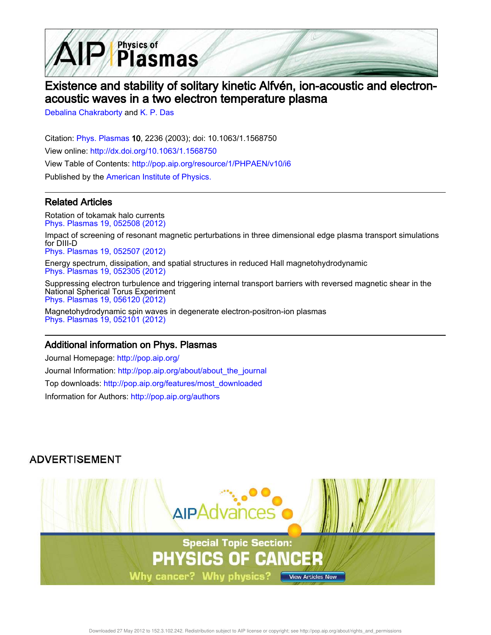

# Existence and stability of solitary kinetic Alfvén, ion-acoustic and electronacoustic waves in a two electron temperature plasma

Debalina Chakraborty and K. P. Das

Citation: Phys. Plasmas 10, 2236 (2003); doi: 10.1063/1.1568750 View online: http://dx.doi.org/10.1063/1.1568750 View Table of Contents: http://pop.aip.org/resource/1/PHPAEN/v10/i6 Published by the American Institute of Physics.

# Related Articles

Rotation of tokamak halo currents Phys. Plasmas 19, 052508 (2012)

Impact of screening of resonant magnetic perturbations in three dimensional edge plasma transport simulations for DIII-D

Phys. Plasmas 19, 052507 (2012)

Energy spectrum, dissipation, and spatial structures in reduced Hall magnetohydrodynamic Phys. Plasmas 19, 052305 (2012)

Suppressing electron turbulence and triggering internal transport barriers with reversed magnetic shear in the National Spherical Torus Experiment Phys. Plasmas 19, 056120 (2012)

Magnetohydrodynamic spin waves in degenerate electron-positron-ion plasmas Phys. Plasmas 19, 052101 (2012)

# Additional information on Phys. Plasmas

Journal Homepage: http://pop.aip.org/ Journal Information: http://pop.aip.org/about/about\_the\_journal Top downloads: http://pop.aip.org/features/most\_downloaded Information for Authors: http://pop.aip.org/authors

# **ADVERTISEMENT**

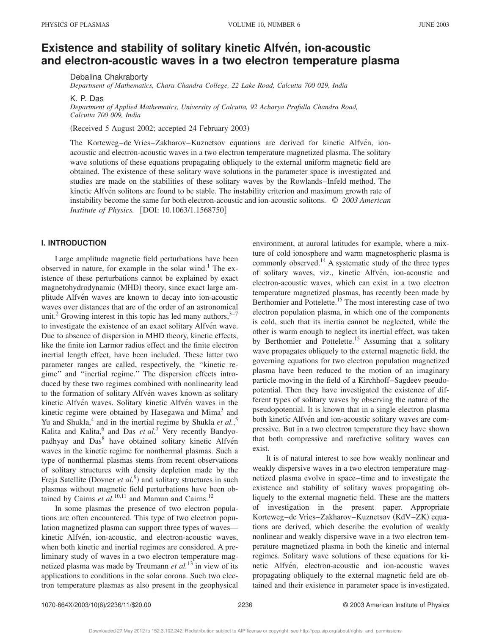# **Existence and stability of solitary kinetic Alfven, ion-acoustic and electron-acoustic waves in a two electron temperature plasma**

Debalina Chakraborty

*Department of Mathematics, Charu Chandra College, 22 Lake Road, Calcutta 700 029, India*

K. P. Das

*Department of Applied Mathematics, University of Calcutta, 92 Acharya Prafulla Chandra Road, Calcutta 700 009, India*

(Received 5 August 2002; accepted 24 February 2003)

The Korteweg–de Vries–Zakharov–Kuznetsov equations are derived for kinetic Alfvén, ionacoustic and electron-acoustic waves in a two electron temperature magnetized plasma. The solitary wave solutions of these equations propagating obliquely to the external uniform magnetic field are obtained. The existence of these solitary wave solutions in the parameter space is investigated and studies are made on the stabilities of these solitary waves by the Rowlands–Infeld method. The kinetic Alfvén solitons are found to be stable. The instability criterion and maximum growth rate of instability become the same for both electron-acoustic and ion-acoustic solitons. © *2003 American Institute of Physics.* [DOI: 10.1063/1.1568750]

# **I. INTRODUCTION**

Large amplitude magnetic field perturbations have been observed in nature, for example in the solar wind.<sup>1</sup> The existence of these perturbations cannot be explained by exact magnetohydrodynamic (MHD) theory, since exact large amplitude Alfvén waves are known to decay into ion-acoustic waves over distances that are of the order of an astronomical unit.<sup>2</sup> Growing interest in this topic has led many authors,  $3-7$ to investigate the existence of an exact solitary Alfvén wave. Due to absence of dispersion in MHD theory, kinetic effects, like the finite ion Larmor radius effect and the finite electron inertial length effect, have been included. These latter two parameter ranges are called, respectively, the ''kinetic regime'' and ''inertial regime.'' The dispersion effects introduced by these two regimes combined with nonlinearity lead to the formation of solitary Alfvén waves known as solitary kinetic Alfvén waves. Solitary kinetic Alfvén waves in the kinetic regime were obtained by Hasegawa and Mima<sup>3</sup> and Yu and Shukla,<sup>4</sup> and in the inertial regime by Shukla *et al.*,<sup>5</sup> Kalita and Kalita,<sup>6</sup> and Das et al.<sup>7</sup> Very recently Bandyopadhyay and Das<sup>8</sup> have obtained solitary kinetic Alfvén waves in the kinetic regime for nonthermal plasmas. Such a type of nonthermal plasmas stems from recent observations of solitary structures with density depletion made by the Freja Satellite (Dovner *et al.*<sup>9</sup>) and solitary structures in such plasmas without magnetic field perturbations have been obtained by Cairns *et al.*<sup>10,11</sup> and Mamun and Cairns.<sup>12</sup>

In some plasmas the presence of two electron populations are often encountered. This type of two electron population magnetized plasma can support three types of waves kinetic Alfvén, ion-acoustic, and electron-acoustic waves, when both kinetic and inertial regimes are considered. A preliminary study of waves in a two electron temperature magnetized plasma was made by Treumann *et al.*<sup>13</sup> in view of its applications to conditions in the solar corona. Such two electron temperature plasmas as also present in the geophysical

environment, at auroral latitudes for example, where a mixture of cold ionosphere and warm magnetospheric plasma is commonly observed.<sup>14</sup> A systematic study of the three types of solitary waves, viz., kinetic Alfvén, ion-acoustic and electron-acoustic waves, which can exist in a two electron temperature magnetized plasmas, has recently been made by Berthomier and Pottelette.<sup>15</sup> The most interesting case of two electron population plasma, in which one of the components is cold, such that its inertia cannot be neglected, while the other is warm enough to neglect its inertial effect, was taken by Berthomier and Pottelette.<sup>15</sup> Assuming that a solitary wave propagates obliquely to the external magnetic field, the governing equations for two electron population magnetized plasma have been reduced to the motion of an imaginary particle moving in the field of a Kirchhoff–Sagdeev pseudopotential. Then they have investigated the existence of different types of solitary waves by observing the nature of the pseudopotential. It is known that in a single electron plasma both kinetic Alfvén and ion-acoustic solitary waves are compressive. But in a two electron temperature they have shown that both compressive and rarefactive solitary waves can exist.

It is of natural interest to see how weakly nonlinear and weakly dispersive waves in a two electron temperature magnetized plasma evolve in space–time and to investigate the existence and stability of solitary waves propagating obliquely to the external magnetic field. These are the matters of investigation in the present paper. Appropriate Korteweg–de Vries–Zakharov–Kuznetsov (KdV–ZK) equations are derived, which describe the evolution of weakly nonlinear and weakly dispersive wave in a two electron temperature magnetized plasma in both the kinetic and internal regimes. Solitary wave solutions of these equations for kinetic Alfvén, electron-acoustic and ion-acoustic waves propagating obliquely to the external magnetic field are obtained and their existence in parameter space is investigated.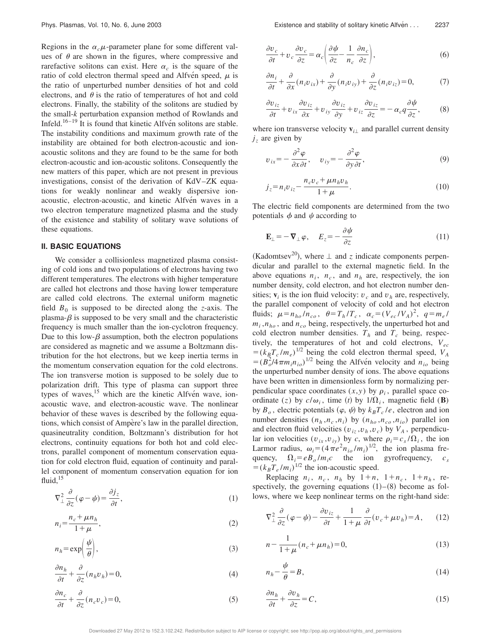Regions in the  $\alpha_c \mu$ -parameter plane for some different values of  $\theta$  are shown in the figures, where compressive and rarefactive solitons can exist. Here  $\alpha_c$  is the square of the ratio of cold electron thermal speed and Alfven speed,  $\mu$  is the ratio of unperturbed number densities of hot and cold electrons, and  $\theta$  is the ratio of temperatures of hot and cold electrons. Finally, the stability of the solitons are studied by the small-*k* perturbation expansion method of Rowlands and Infeld.<sup>16–19</sup> It is found that kinetic Alfvén solitons are stable. The instability conditions and maximum growth rate of the instability are obtained for both electron-acoustic and ionacoustic solitons and they are found to be the same for both electron-acoustic and ion-acoustic solitons. Consequently the new matters of this paper, which are not present in previous investigations, consist of the derivation of KdV–ZK equations for weakly nonlinear and weakly dispersive ionacoustic, electron-acoustic, and kinetic Alfven waves in a two electron temperature magnetized plasma and the study of the existence and stability of solitary wave solutions of these equations.

## **II. BASIC EQUATIONS**

We consider a collisionless magnetized plasma consisting of cold ions and two populations of electrons having two different temperatures. The electrons with higher temperature are called hot electrons and those having lower temperature are called cold electrons. The external uniform magnetic field  $B_0$  is supposed to be directed along the *z*-axis. The plasma- $\beta$  is supposed to be very small and the characteristic frequency is much smaller than the ion-cyclotron frequency. Due to this low- $\beta$  assumption, both the electron populations are considered as magnetic and we assume a Boltzmann distribution for the hot electrons, but we keep inertia terms in the momentum conservation equation for the cold electrons. The ion transverse motion is supposed to be solely due to polarization drift. This type of plasma can support three types of waves, $15$  which are the kinetic Alfven wave, ionacoustic wave, and electron-acoustic wave. The nonlinear behavior of these waves is described by the following equations, which consist of Ampère's law in the parallel direction, quasineutrality condition, Boltzmann's distribution for hot electrons, continuity equations for both hot and cold electrons, parallel component of momentum conservation equation for cold electron fluid, equation of continuity and parallel component of momentum conservation equation for ion fluid, $15$ 

$$
\nabla_{\perp}^{2} \frac{\partial}{\partial z} (\varphi - \psi) = \frac{\partial j_{z}}{\partial t}, \qquad (1)
$$

$$
n_i = \frac{n_c + \mu n_h}{1 + \mu},\tag{2}
$$

$$
n_h = \exp\left(\frac{\psi}{\theta}\right),\tag{3}
$$

$$
\frac{\partial n_h}{\partial t} + \frac{\partial}{\partial z} (n_h v_h) = 0, \tag{4}
$$

$$
\frac{\partial n_c}{\partial t} + \frac{\partial}{\partial z} (n_c v_c) = 0,\tag{5}
$$

$$
\frac{\partial v_c}{\partial t} + v_c \frac{\partial v_c}{\partial z} = \alpha_c \left( \frac{\partial \psi}{\partial z} - \frac{1}{n_c} \frac{\partial n_c}{\partial z} \right),\tag{6}
$$

$$
\frac{\partial n_i}{\partial t} + \frac{\partial}{\partial x}(n_i v_{ix}) + \frac{\partial}{\partial y}(n_i v_{iy}) + \frac{\partial}{\partial z}(n_i v_{iz}) = 0, \tag{7}
$$

$$
\frac{\partial v_{iz}}{\partial t} + v_{ix}\frac{\partial v_{iz}}{\partial x} + v_{iy}\frac{\partial v_{iz}}{\partial y} + v_{iz}\frac{\partial v_{iz}}{\partial z} = -\alpha_c q \frac{\partial \psi}{\partial z},\tag{8}
$$

where ion transverse velocity  $\mathbf{v}_{i\perp}$  and parallel current density  $j_z$  are given by

$$
v_{ix} = -\frac{\partial^2 \varphi}{\partial x \partial t}, \quad v_{iy} = -\frac{\partial^2 \varphi}{\partial y \partial t}, \tag{9}
$$

$$
j_z = n_i v_{iz} - \frac{n_c v_c + \mu n_h v_h}{1 + \mu}.
$$
 (10)

The electric field components are determined from the two potentials  $\phi$  and  $\psi$  according to

$$
\mathbf{E}_{\perp} = -\nabla_{\perp} \varphi, \quad E_z = -\frac{\partial \psi}{\partial z} \tag{11}
$$

(Kadomtsev<sup>20</sup>), where  $\perp$  and *z* indicate components perpendicular and parallel to the external magnetic field. In the above equations  $n_i$ ,  $n_c$ , and  $n_h$  are, respectively, the ion number density, cold electron, and hot electron number densities;  $\mathbf{v}_i$  is the ion fluid velocity:  $v_c$  and  $v_h$  are, respectively, the parallel component of velocity of cold and hot electron fluids;  $\mu = n_{ho} / n_{co}$ ,  $\theta = T_h / T_c$ ,  $\alpha_c = (V_{ec} / V_A)^2$ ,  $q = m_e / T_c$  $m_i$ ,  $n_{ho}$ , and  $n_{co}$  being, respectively, the unperturbed hot and cold electron number densities.  $T_h$  and  $T_c$  being, respectively, the temperatures of hot and cold electrons, *Vec*  $= (k_B T_c/m_e)^{1/2}$  being the cold electron thermal speed,  $V_A$  $=$   $(B_0^2/4\pi m_i n_{io})^{1/2}$  being the Alfven velocity and  $n_{io}$  being the unperturbed number density of ions. The above equations have been written in dimensionless form by normalizing perpendicular space coordinates  $(x, y)$  by  $\rho_i$ , parallel space coordinate (*z*) by  $c/\omega_i$ , time (*t*) by  $1/\Omega_i$ , magnetic field (**B**) by  $B_o$ , electric potentials  $(\varphi, \psi)$  by  $k_B T_c / e$ , electron and ion number densities  $(n_h, n_c, n_i)$  by  $(n_{ho}, n_{co}, n_{io})$  parallel ion and electron fluid velocities ( $v_{iz}$ , $v_h$ , $v_c$ ) by  $V_A$ , perpendicular ion velocities  $(v_{ix}, v_{iy})$  by *c*, where  $\rho_i = c_s / \Omega_i$ , the ion Larmor radius,  $\omega_i = (4\pi e^2 n_{io}/m_i)^{1/2}$ , the ion plasma frequency,  $\Omega_i = e B_o / m_i c$  the ion gyrofrequency,  $c_s$  $=(k_B T_e/m_i)^{1/2}$  the ion-acoustic speed.

Replacing  $n_i$ ,  $n_c$ ,  $n_h$  by  $1+n$ ,  $1+n_c$ ,  $1+n_h$ , respectively, the governing equations  $(1)$ – $(8)$  become as follows, where we keep nonlinear terms on the right-hand side:

$$
\nabla_{\perp}^{2} \frac{\partial}{\partial z} (\varphi - \psi) - \frac{\partial v_{iz}}{\partial t} + \frac{1}{1 + \mu} \frac{\partial}{\partial t} (v_c + \mu v_h) = A, \quad (12)
$$

$$
n - \frac{1}{1 + \mu} (n_c + \mu n_h) = 0,
$$
\n(13)

$$
n_h - \frac{\psi}{\theta} = B,\tag{14}
$$

$$
\frac{\partial n_h}{\partial t} + \frac{\partial v_h}{\partial z} = C,\tag{15}
$$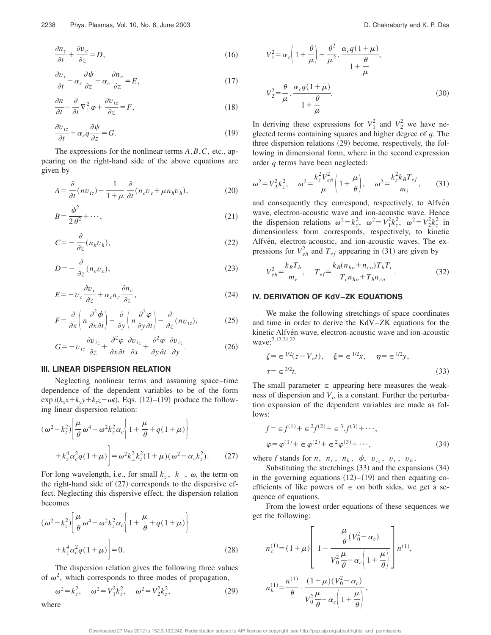$$
\frac{\partial n_c}{\partial t} + \frac{\partial v_c}{\partial z} = D,\tag{16}
$$

$$
\frac{\partial v_c}{\partial t} - \alpha_c \frac{\partial \psi}{\partial z} + \alpha_c \frac{\partial n_c}{\partial z} = E,
$$
\n(17)

$$
\frac{\partial n}{\partial t} - \frac{\partial}{\partial t} \nabla_{\perp}^2 \varphi + \frac{\partial v_{iz}}{\partial z} = F,
$$
\n(18)

$$
\frac{\partial v_{iz}}{\partial t} + \alpha_c q \frac{\partial \psi}{\partial z} = G.
$$
\n(19)

The expressions for the nonlinear terms *A*,*B*,*C*, etc., appearing on the right-hand side of the above equations are given by

$$
A = \frac{\partial}{\partial t} (n v_{iz}) - \frac{1}{1 + \mu} \frac{\partial}{\partial t} (n_c v_c + \mu n_h v_h), \tag{20}
$$

$$
B = \frac{\psi^2}{2\theta^2} + \cdots,\tag{21}
$$

$$
C = -\frac{\partial}{\partial z} (n_h v_h), \tag{22}
$$

$$
D = -\frac{\partial}{\partial z}(n_c v_c),\tag{23}
$$

$$
E = -v_c \frac{\partial v_c}{\partial z} + \alpha_c n_c \frac{\partial n_c}{\partial z},
$$
\n(24)

$$
F = \frac{\partial}{\partial x} \left( n \frac{\partial^2 \phi}{\partial x \partial t} \right) + \frac{\partial}{\partial y} \left( n \frac{\partial^2 \phi}{\partial y \partial t} \right) - \frac{\partial}{\partial z} (n v_{iz}), \tag{25}
$$

$$
G = -v_{iz}\frac{\partial v_{iz}}{\partial z} + \frac{\partial^2 \varphi}{\partial x \partial t} \frac{\partial v_{iz}}{\partial x} + \frac{\partial^2 \varphi}{\partial y \partial t} \frac{\partial v_{iz}}{\partial y}.
$$
 (26)

## **III. LINEAR DISPERSION RELATION**

Neglecting nonlinear terms and assuming space–time dependence of the dependent variables to be of the form  $\exp i(k_x x + k_y y + k_z z - \omega t)$ , Eqs. (12)–(19) produce the following linear dispersion relation:

$$
(\omega^2 - k_z^2) \left[ \frac{\mu}{\theta} \omega^4 - \omega^2 k_z^2 \alpha_c \left\{ 1 + \frac{\mu}{\theta} + q(1 + \mu) \right\} + k_z^4 \alpha_c^2 q(1 + \mu) \right] = \omega^2 k_{\perp}^2 k_z^2 (1 + \mu) (\omega^2 - \alpha_c k_z^2).
$$
 (27)

For long wavelength, i.e., for small  $k_z$ ,  $k_{\perp}$ ,  $\omega$ , the term on the right-hand side of  $(27)$  corresponds to the dispersive effect. Neglecting this dispersive effect, the dispersion relation becomes

$$
(\omega^2 - k_z^2) \left[ \frac{\mu}{\theta} \omega^4 - \omega^2 k_z^2 \alpha_c \left\{ 1 + \frac{\mu}{\theta} + q(1 + \mu) \right\} + k_z^4 \alpha_c^2 q(1 + \mu) \right] = 0.
$$
 (28)

The dispersion relation gives the following three values of  $\omega^2$ , which corresponds to three modes of propagation,

$$
\omega^2 = k_z^2
$$
,  $\omega^2 = V_1^2 k_z^2$ ,  $\omega^2 = V_2^2 k_z^2$ , (29)

where

$$
V_1^2 = \alpha_c \left( 1 + \frac{\theta}{\mu} \right) + \frac{\theta^2}{\mu^2} \cdot \frac{\alpha_c q (1 + \mu)}{1 + \frac{\theta}{\mu}},
$$
  

$$
V_2^2 = \frac{\theta}{\mu} \cdot \frac{\alpha_c q (1 + \mu)}{1 + \frac{\theta}{\mu}}.
$$
 (30)

In deriving these expressions for  $V_1^2$  and  $V_2^2$  we have neglected terms containing squares and higher degree of *q*. The three dispersion relations  $(29)$  become, respectively, the following in dimensional form, where in the second expression order *q* terms have been neglected:

$$
\omega^2 = V_A^2 k_z^2
$$
,  $\omega^2 = \frac{k_z^2 V_{eh}^2}{\mu} \left( 1 + \frac{\mu}{\theta} \right)$ ,  $\omega^2 = \frac{k_z^2 k_B T_{ef}}{m_i}$ , (31)

and consequently they correspond, respectively, to Alfvén wave, electron-acoustic wave and ion-acoustic wave. Hence the dispersion relations  $\omega^2 = k_z^2$ ,  $\omega^2 = V_1^2 k_z^2$ ,  $\omega^2 = V_2^2 k_z^2$  in dimensionless form corresponds, respectively, to kinetic Alfvén, electron-acoustic, and ion-acoustic waves. The expressions for  $V_{eh}^2$  and  $T_{ef}$  appearing in (31) are given by

$$
V_{eh}^2 = \frac{k_B T_h}{m_e}, \quad T_{ef} = \frac{k_B (n_{ho} + n_{co}) T_h T_c}{T_c n_{ho} + T_h n_{co}}.
$$
 (32)

# **IV. DERIVATION OF KdV–ZK EQUATIONS**

We make the following stretchings of space coordinates and time in order to derive the KdV–ZK equations for the kinetic Alfvén wave, electron-acoustic wave and ion-acoustic wave:7,12,21,22

$$
\zeta = \epsilon^{1/2}(z - V_o t), \quad \xi = \epsilon^{1/2}x, \quad \eta = \epsilon^{1/2}y,
$$
  

$$
\tau = \epsilon^{3/2}t.
$$
 (33)

The small parameter  $\in$  appearing here measures the weakness of dispersion and  $V<sub>o</sub>$  is a constant. Further the perturbation expansion of the dependent variables are made as follows:

$$
f = \epsilon f^{(1)} + \epsilon^2 f^{(2)} + \epsilon^3 f^{(3)} + \cdots,
$$
  
\n
$$
\varphi = \varphi^{(1)} + \epsilon \varphi^{(2)} + \epsilon^2 \varphi^{(3)} + \cdots,
$$
\n(34)

where *f* stands for *n*,  $n_c$ ,  $n_h$ ,  $\psi$ ,  $v_{iz}$ ,  $v_c$ ,  $v_h$ .

Substituting the stretchings  $(33)$  and the expansions  $(34)$ in the governing equations  $(12)$ – $(19)$  and then equating coefficients of like powers of  $\in$  on both sides, we get a sequence of equations.

From the lowest order equations of these sequences we get the following:

$$
n_c^{(1)} = (1 + \mu) \left[ 1 - \frac{\frac{\mu}{\theta} (V_0^2 - \alpha_c)}{V_0^2 \frac{\mu}{\theta} - \alpha_c \left( 1 + \frac{\mu}{\theta} \right)} \right] n^{(1)},
$$

$$
n_h^{(1)} = \frac{n^{(1)}}{\theta} \cdot \frac{(1 + \mu)(V_0^2 - \alpha_c)}{V_0^2 \frac{\mu}{\theta} - \alpha_c \left( 1 + \frac{\mu}{\theta} \right)},
$$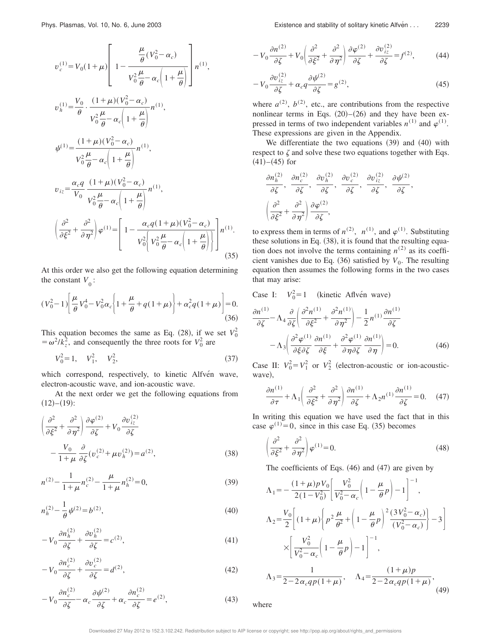$$
v_c^{(1)} = V_0(1+\mu) \left[ 1 - \frac{\frac{\mu}{\theta} (V_0^2 - \alpha_c)}{V_0^2 \frac{\mu}{\theta} - \alpha_c \left( 1 + \frac{\mu}{\theta} \right)} \right] n^{(1)},
$$
  
\n
$$
v_h^{(1)} = \frac{V_0}{\theta} \cdot \frac{(1+\mu)(V_0^2 - \alpha_c)}{V_0^2 \frac{\mu}{\theta} - \alpha_c \left( 1 + \frac{\mu}{\theta} \right)} n^{(1)},
$$
  
\n
$$
\psi^{(1)} = \frac{(1+\mu)(V_0^2 - \alpha_c)}{V_0^2 \frac{\mu}{\theta} - \alpha_c \left( 1 + \frac{\mu}{\theta} \right)} n^{(1)},
$$
  
\n
$$
v_{iz} = \frac{\alpha_c q}{V_0} \frac{(1+\mu)(V_0^2 - \alpha_c)}{V_0^2 \frac{\mu}{\theta} - \alpha_c \left( 1 + \frac{\mu}{\theta} \right)} n^{(1)},
$$
  
\n
$$
\left( \frac{\partial^2}{\partial \xi^2} + \frac{\partial^2}{\partial \eta^2} \right) \varphi^{(1)} = \left[ 1 - \frac{\alpha_c q (1+\mu)(V_0^2 - \alpha_c)}{V_0^2 \left( V_0^2 \frac{\mu}{\theta} - \alpha_c \left( 1 + \frac{\mu}{\theta} \right) \right)} \right] n^{(1)}.
$$
  
\n(35)

At this order we also get the following equation determining the constant  $V_0$ :

$$
(V_0^2 - 1)\left[\frac{\mu}{\theta}V_0^4 - V_0^2 \alpha_c \left(1 + \frac{\mu}{\theta} + q(1 + \mu)\right) + \alpha_c^2 q(1 + \mu)\right] = 0.
$$
\n(36)

This equation becomes the same as Eq. (28), if we set  $V_0^2$  $= \omega^2 / k_z^2$ , and consequently the three roots for  $V_0^2$  are

$$
V_0^2 = 1, \quad V_1^2, \quad V_2^2,\tag{37}
$$

which correspond, respectively, to kinetic Alfvén wave, electron-acoustic wave, and ion-acoustic wave.

At the next order we get the following equations from  $(12)–(19):$ 

$$
\left(\frac{\partial^2}{\partial \xi^2} + \frac{\partial^2}{\partial \eta^2}\right) \frac{\partial \varphi^{(2)}}{\partial \zeta} + V_0 \frac{\partial v_{iz}^{(2)}}{\partial \zeta}
$$

$$
-\frac{V_0}{1+\mu} \frac{\partial}{\partial \zeta} (v_c^{(2)} + \mu v_h^{(2)}) = a^{(2)}, \tag{38}
$$

$$
n^{(2)} - \frac{1}{1+\mu} n_c^{(2)} - \frac{\mu}{1+\mu} n_h^{(2)} = 0,
$$
\n(39)

$$
n_h^{(2)} - \frac{1}{\theta} \psi^{(2)} = b^{(2)},\tag{40}
$$

$$
-V_0 \frac{\partial n_h^{(2)}}{\partial \zeta} + \frac{\partial v_h^{(2)}}{\partial \zeta} = c^{(2)},\tag{41}
$$

$$
-V_0 \frac{\partial n_c^{(2)}}{\partial \zeta} + \frac{\partial v_c^{(2)}}{\partial \zeta} = d^{(2)},\tag{42}
$$

$$
-V_0 \frac{\partial n_c^{(2)}}{\partial \zeta} - \alpha_c \frac{\partial \psi^{(2)}}{\partial \zeta} + \alpha_c \frac{\partial n_c^{(2)}}{\partial \zeta} = e^{(2)},\tag{43}
$$

$$
-V_0 \frac{\partial n^{(2)}}{\partial \zeta} + V_0 \left( \frac{\partial^2}{\partial \xi^2} + \frac{\partial^2}{\partial \eta^2} \right) \frac{\partial \varphi^{(2)}}{\partial \zeta} + \frac{\partial v_{iz}^{(2)}}{\partial \zeta} = f^{(2)},\tag{44}
$$

$$
-V_0 \frac{\partial v_{iz}^{(2)}}{\partial \zeta} + \alpha_c q \frac{\partial \psi^{(2)}}{\partial \zeta} = g^{(2)},\tag{45}
$$

where  $a^{(2)}$ ,  $b^{(2)}$ , etc., are contributions from the respective nonlinear terms in Eqs.  $(20)$ – $(26)$  and they have been expressed in terms of two independent variables  $n^{(1)}$  and  $\varphi^{(1)}$ . These expressions are given in the Appendix.

We differentiate the two equations  $(39)$  and  $(40)$  with respect to  $\zeta$  and solve these two equations together with Eqs.  $(41)–(45)$  for

$$
\frac{\partial n_h^{(2)}}{\partial \zeta}, \frac{\partial n_c^{(2)}}{\partial \zeta}, \frac{\partial v_h^{(2)}}{\partial \zeta}, \frac{\partial v_c^{(2)}}{\partial \zeta}, \frac{\partial v_c^{(2)}}{\partial \zeta}, \frac{\partial v_{iz}^{(2)}}{\partial \zeta}, \frac{\partial \psi^{(2)}}{\partial \zeta}, \frac{\partial \zeta}{\partial \zeta}, \frac{\partial \zeta}{\partial \zeta}, \frac{\partial \zeta}{\partial \zeta}, \frac{\partial \zeta}{\partial \zeta}, \frac{\partial \zeta}{\partial \zeta}, \frac{\partial \zeta}{\partial \zeta}, \frac{\partial \zeta}{\partial \zeta}, \frac{\partial \zeta}{\partial \zeta}, \frac{\partial \zeta}{\partial \zeta}, \frac{\partial \zeta}{\partial \zeta}, \frac{\partial \zeta}{\partial \zeta}, \frac{\partial \zeta}{\partial \zeta}, \frac{\partial \zeta}{\partial \zeta}, \frac{\partial \zeta}{\partial \zeta}, \frac{\partial \zeta}{\partial \zeta}, \frac{\partial \zeta}{\partial \zeta}, \frac{\partial \zeta}{\partial \zeta}, \frac{\partial \zeta}{\partial \zeta}, \frac{\partial \zeta}{\partial \zeta}, \frac{\partial \zeta}{\partial \zeta}, \frac{\partial \zeta}{\partial \zeta}, \frac{\partial \zeta}{\partial \zeta}, \frac{\partial \zeta}{\partial \zeta}, \frac{\partial \zeta}{\partial \zeta}, \frac{\partial \zeta}{\partial \zeta}, \frac{\partial \zeta}{\partial \zeta}, \frac{\partial \zeta}{\partial \zeta}, \frac{\partial \zeta}{\partial \zeta}, \frac{\partial \zeta}{\partial \zeta}, \frac{\partial \zeta}{\partial \zeta}, \frac{\partial \zeta}{\partial \zeta}, \frac{\partial \zeta}{\partial \zeta}, \frac{\partial \zeta}{\partial \zeta}, \frac{\partial \zeta}{\partial \zeta}, \frac{\partial \zeta}{\partial \zeta}, \frac{\partial \zeta}{\partial \zeta}, \frac{\partial \zeta}{\partial \zeta}, \frac{\partial \zeta}{\partial \zeta}, \frac{\partial \zeta}{\partial \zeta}, \frac{\partial \zeta}{\partial \zeta}, \frac{\partial \zeta}{\partial \zeta}, \frac{\partial \zeta}{\partial \zeta}, \frac{\partial \zeta}{\partial \zeta}, \frac{\partial \zeta}{\partial \zeta}, \frac{\partial \zeta}{\partial \zeta}, \frac{\partial \zeta}{\partial \zeta}, \frac
$$

to express them in terms of  $n^{(2)}$ ,  $n^{(1)}$ , and  $\varphi^{(1)}$ . Substituting these solutions in Eq.  $(38)$ , it is found that the resulting equation does not involve the terms containing  $n^{(2)}$  as its coefficient vanishes due to Eq.  $(36)$  satisfied by  $V_0$ . The resulting equation then assumes the following forms in the two cases that may arise:

Case I: 
$$
V_0^2 = 1
$$
 (kinetic Aflvén wave)

$$
\frac{\partial n^{(1)}}{\partial \zeta} - \Lambda_4 \frac{\partial}{\partial \zeta} \left( \frac{\partial^2 n^{(1)}}{\partial \xi^2} + \frac{\partial^2 n^{(1)}}{\partial \eta^2} \right) - \frac{1}{2} n^{(1)} \frac{\partial n^{(1)}}{\partial \zeta}
$$

$$
- \Lambda_3 \left( \frac{\partial^2 \varphi^{(1)}}{\partial \xi \partial \zeta} \frac{\partial n^{(1)}}{\partial \xi} + \frac{\partial^2 \varphi^{(1)}}{\partial \eta \partial \zeta} \frac{\partial n^{(1)}}{\partial \eta} \right) = 0. \tag{46}
$$

Case II:  $V_0^2 = V_1^2$  or  $V_2^2$  (electron-acoustic or ion-acousticwave),

$$
\frac{\partial n^{(1)}}{\partial \tau} + \Lambda_1 \left( \frac{\partial^2}{\partial \xi^2} + \frac{\partial^2}{\partial \eta^2} \right) \frac{\partial n^{(1)}}{\partial \zeta} + \Lambda_2 n^{(1)} \frac{\partial n^{(1)}}{\partial \zeta} = 0. \quad (47)
$$

In writing this equation we have used the fact that in this case  $\varphi^{(1)}=0$ , since in this case Eq. (35) becomes

$$
\left(\frac{\partial^2}{\partial \xi^2} + \frac{\partial^2}{\partial \eta^2}\right)\varphi^{(1)} = 0.
$$
\n(48)

The coefficients of Eqs.  $(46)$  and  $(47)$  are given by

$$
\Lambda_{1} = -\frac{(1+\mu)pV_{0}}{2(1-V_{0}^{2})} \left[ \frac{V_{0}^{2}}{V_{0}^{2} - \alpha_{c}} \left( 1 - \frac{\mu}{\theta} p \right) - 1 \right]^{-1},
$$
\n
$$
\Lambda_{2} = \frac{V_{0}}{2} \left[ (1+\mu) \left\{ p^{2} \frac{\mu}{\theta^{2}} + \left( 1 - \frac{\mu}{\theta} p \right)^{2} \frac{(3V_{0}^{2} - \alpha_{c})}{(V_{0}^{2} - \alpha_{c})} \right\} - 3 \right]
$$
\n
$$
\times \left[ \frac{V_{0}^{2}}{V_{0}^{2} - \alpha_{c}} \left( 1 - \frac{\mu}{\theta} p \right) - 1 \right]^{-1},
$$
\n
$$
\Lambda_{3} = \frac{1}{2 - 2\alpha_{c}qp(1+\mu)}, \quad \Lambda_{4} = \frac{(1+\mu)p}{2 - 2\alpha_{c}qp(1+\mu)}, \quad (49)
$$

where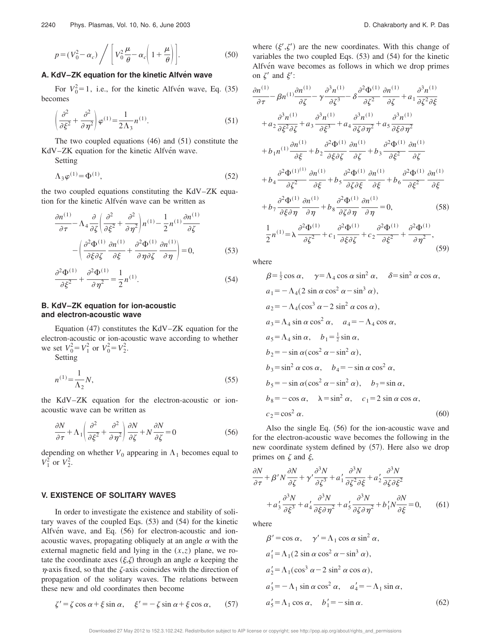$$
p = (V_0^2 - \alpha_c) / \left[ V_0^2 \frac{\mu}{\theta} - \alpha_c \left( 1 + \frac{\mu}{\theta} \right) \right].
$$
 (50)

# A. KdV-ZK equation for the kinetic Alfven wave

For  $V_0^2 = 1$ , i.e., for the kinetic Alfve<sup>n</sup> wave, Eq. (35) becomes

$$
\left(\frac{\partial^2}{\partial \xi^2} + \frac{\partial^2}{\partial \eta^2}\right)\varphi^{(1)} = \frac{1}{2\Lambda_3} n^{(1)}.
$$
\n(51)

The two coupled equations  $(46)$  and  $(51)$  constitute the KdV–ZK equation for the kinetic Alfvén wave.

Setting

$$
\Lambda_3 \varphi^{(1)} = \Phi^{(1)},\tag{52}
$$

the two coupled equations constituting the KdV–ZK equation for the kinetic Alfvén wave can be written as

$$
\frac{\partial n^{(1)}}{\partial \tau} - \Lambda_4 \frac{\partial}{\partial \zeta} \left( \frac{\partial^2}{\partial \xi^2} + \frac{\partial^2}{\partial \eta^2} \right) n^{(1)} - \frac{1}{2} n^{(1)} \frac{\partial n^{(1)}}{\partial \zeta} \n- \left( \frac{\partial^2 \Phi^{(1)}}{\partial \xi \partial \zeta} \frac{\partial n^{(1)}}{\partial \xi} + \frac{\partial^2 \Phi^{(1)}}{\partial \eta \partial \zeta} \frac{\partial n^{(1)}}{\partial \eta} \right) = 0,
$$
\n(53)

$$
\frac{\partial^2 \Phi^{(1)}}{\partial \xi^2} + \frac{\partial^2 \Phi^{(1)}}{\partial \eta^2} = \frac{1}{2} n^{(1)}.
$$
 (54)

## **B. KdV–ZK equation for ion-acoustic and electron-acoustic wave**

Equation  $(47)$  constitutes the KdV–ZK equation for the electron-acoustic or ion-acoustic wave according to whether we set  $V_0^2 = V_1^2$  or  $V_0^2 = V_2^2$ .

Setting

$$
n^{(1)} = \frac{1}{\Lambda_2} N,\tag{55}
$$

the KdV–ZK equation for the electron-acoustic or ionacoustic wave can be written as

$$
\frac{\partial N}{\partial \tau} + \Lambda_1 \left( \frac{\partial^2}{\partial \xi^2} + \frac{\partial^2}{\partial \eta^2} \right) \frac{\partial N}{\partial \zeta} + N \frac{\partial N}{\partial \zeta} = 0 \tag{56}
$$

depending on whether  $V_0$  appearing in  $\Lambda_1$  becomes equal to  $V_1^2$  or  $V_2^2$ .

# **V. EXISTENCE OF SOLITARY WAVES**

In order to investigate the existence and stability of solitary waves of the coupled Eqs.  $(53)$  and  $(54)$  for the kinetic Alfvén wave, and Eq.  $(56)$  for electron-acoustic and ionacoustic waves, propagating obliquely at an angle  $\alpha$  with the external magnetic field and lying in the  $(x, z)$  plane, we rotate the coordinate axes  $(\xi,\zeta)$  through an angle  $\alpha$  keeping the  $\eta$ -axis fixed, so that the  $\zeta$ -axis coincides with the direction of propagation of the solitary waves. The relations between these new and old coordinates then become

$$
\zeta' = \zeta \cos \alpha + \xi \sin \alpha, \quad \xi' = -\zeta \sin \alpha + \xi \cos \alpha, \quad (57)
$$

where  $(\xi',\zeta')$  are the new coordinates. With this change of variables the two coupled Eqs.  $(53)$  and  $(54)$  for the kinetic Alfvén wave becomes as follows in which we drop primes on  $\zeta'$  and  $\zeta'$ :

$$
\frac{\partial n^{(1)}}{\partial \tau} - \beta n^{(1)} \frac{\partial n^{(1)}}{\partial \zeta} - \gamma \frac{\partial^3 n^{(1)}}{\partial \zeta^3} - \delta \frac{\partial^2 \Phi^{(1)}}{\partial \zeta^2} \frac{\partial n^{(1)}}{\partial \zeta} + a_1 \frac{\partial^3 n^{(1)}}{\partial \zeta^2 \partial \xi} \n+ a_2 \frac{\partial^3 n^{(1)}}{\partial \xi^2 \partial \zeta} + a_3 \frac{\partial^3 n^{(1)}}{\partial \xi^3} + a_4 \frac{\partial^3 n^{(1)}}{\partial \zeta \partial \eta^2} + a_5 \frac{\partial^3 n^{(1)}}{\partial \xi \partial \eta^2} \n+ b_1 n^{(1)} \frac{\partial n^{(1)}}{\partial \xi} + b_2 \frac{\partial^2 \Phi^{(1)}}{\partial \xi \partial \zeta} \frac{\partial n^{(1)}}{\partial \zeta} + b_3 \frac{\partial^2 \Phi^{(1)}}{\partial \xi^2} \frac{\partial n^{(1)}}{\partial \zeta} \n+ b_4 \frac{\partial^2 \Phi^{(1)^{(1)}}}{\partial \zeta^2} \frac{\partial n^{(1)}}{\partial \xi} + b_5 \frac{\partial^2 \Phi^{(1)}}{\partial \zeta \partial \xi} \frac{\partial n^{(1)}}{\partial \xi} + b_6 \frac{\partial^2 \Phi^{(1)}}{\partial \xi^2} \frac{\partial n^{(1)}}{\partial \xi} \n+ b_7 \frac{\partial^2 \Phi^{(1)}}{\partial \xi \partial \eta} \frac{\partial n^{(1)}}{\partial \eta} + b_8 \frac{\partial^2 \Phi^{(1)}}{\partial \zeta \partial \eta} \frac{\partial n^{(1)}}{\partial \eta} = 0, \qquad (58)
$$
\n
$$
\frac{1}{2} n^{(1)} = \lambda \frac{\partial^2 \Phi^{(1)}}{\partial \zeta^2} + c_1 \frac{\partial^2 \Phi^{(1)}}{\partial \xi \partial \zeta} + c_2 \frac{\partial^2 \Phi^{(1)}}{\partial \xi^2} + \frac{\partial^2 \Phi^{(1)}}{\partial \eta^2}, \qquad (59)
$$

where

$$
\beta = \frac{1}{2}\cos\alpha, \quad \gamma = \Lambda_4 \cos\alpha \sin^2\alpha, \quad \delta = \sin^2\alpha \cos\alpha,
$$
  
\n
$$
a_1 = -\Lambda_4 (2\sin\alpha \cos^2\alpha - \sin^3\alpha),
$$
  
\n
$$
a_2 = -\Lambda_4 (\cos^3\alpha - 2\sin^2\alpha \cos\alpha),
$$
  
\n
$$
a_3 = \Lambda_4 \sin\alpha \cos^2\alpha, \quad a_4 = -\Lambda_4 \cos\alpha,
$$
  
\n
$$
a_5 = \Lambda_4 \sin\alpha, \quad b_1 = \frac{1}{2}\sin\alpha,
$$
  
\n
$$
b_2 = -\sin\alpha(\cos^2\alpha - \sin^2\alpha),
$$
  
\n
$$
b_3 = \sin^2\alpha \cos\alpha, \quad b_4 = -\sin\alpha \cos^2\alpha,
$$
  
\n
$$
b_5 = -\sin\alpha(\cos^2\alpha - \sin^2\alpha), \quad b_7 = \sin\alpha,
$$
  
\n
$$
b_8 = -\cos\alpha, \quad \lambda = \sin^2\alpha, \quad c_1 = 2\sin\alpha \cos\alpha,
$$
  
\n
$$
c_2 = \cos^2\alpha.
$$
  
\n(60)

Also the single Eq.  $(56)$  for the ion-acoustic wave and for the electron-acoustic wave becomes the following in the new coordinate system defined by  $(57)$ . Here also we drop primes on  $\zeta$  and  $\xi$ ,

$$
\frac{\partial N}{\partial \tau} + \beta' N \frac{\partial N}{\partial \zeta} + \gamma' \frac{\partial^3 N}{\partial \zeta^3} + a'_1 \frac{\partial^3 N}{\partial \zeta^2 \partial \xi} + a'_2 \frac{\partial^3 N}{\partial \zeta \partial \xi^2} + a'_3 \frac{\partial^3 N}{\partial \xi^3} + a'_4 \frac{\partial^3 N}{\partial \xi \partial \eta^2} + a'_5 \frac{\partial^3 N}{\partial \zeta \partial \eta^2} + b'_1 N \frac{\partial N}{\partial \xi} = 0,
$$
(61)

where

$$
\beta' = \cos \alpha, \quad \gamma' = \Lambda_1 \cos \alpha \sin^2 \alpha,
$$
  
\n
$$
a'_1 = \Lambda_1 (2 \sin \alpha \cos^2 \alpha - \sin^3 \alpha),
$$
  
\n
$$
a'_2 = \Lambda_1 (\cos^3 \alpha - 2 \sin^2 \alpha \cos \alpha),
$$
  
\n
$$
a'_3 = -\Lambda_1 \sin \alpha \cos^2 \alpha, \quad a'_4 = -\Lambda_1 \sin \alpha,
$$
  
\n
$$
a'_5 = \Lambda_1 \cos \alpha, \quad b'_1 = -\sin \alpha.
$$
 (62)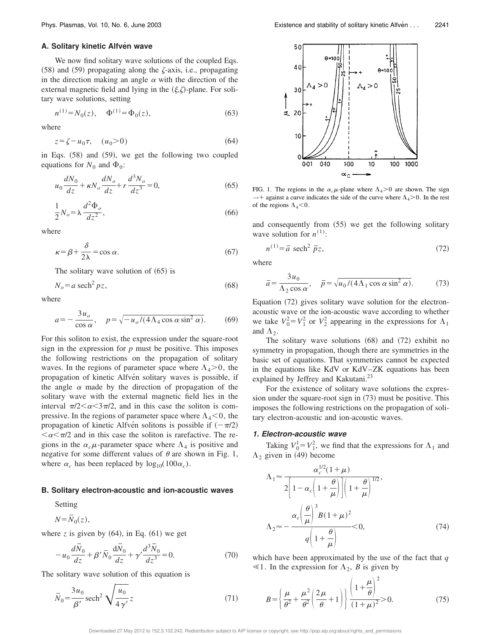### **A. Solitary kinetic Alfven wave**

We now find solitary wave solutions of the coupled Eqs.  $(58)$  and  $(59)$  propagating along the  $\zeta$ -axis, i.e., propagating in the direction making an angle  $\alpha$  with the direction of the external magnetic field and lying in the  $(\xi,\zeta)$ -plane. For solitary wave solutions, setting

$$
n^{(1)} = N_0(z), \quad \Phi^{(1)} = \Phi_0(z), \tag{63}
$$

where

$$
z = \zeta - u_0 \tau, \quad (u_0 > 0)
$$
\n(64)

in Eqs.  $(58)$  and  $(59)$ , we get the following two coupled equations for  $N_0$  and  $\Phi_0$ :

$$
u_0 \frac{dN_0}{dz} + \kappa N_o \frac{dN_o}{dz} + r \frac{d^3 N_o}{dz^3} = 0,
$$
 (65)

$$
\frac{1}{2}N_o = \lambda \frac{d^2 \Phi_o}{dz^2},\tag{66}
$$

where

$$
\kappa = \beta + \frac{\delta}{2\lambda} = \cos \alpha. \tag{67}
$$

The solitary wave solution of  $(65)$  is

$$
N_o = a \text{ sech}^2 pz,
$$
\n(68)

where

$$
a = -\frac{3u_o}{\cos \alpha}, \quad p = \sqrt{-u_o/(4\Lambda_4 \cos \alpha \sin^2 \alpha)}.
$$
 (69)

For this soliton to exist, the expression under the square-root sign in the expression for  $p$  must be positive. This imposes the following restrictions on the propagation of solitary waves. In the regions of parameter space where  $\Lambda_4$  > 0, the propagation of kinetic Alfvén solitary waves is possible, if the angle  $\alpha$  made by the direction of propagation of the solitary wave with the external magnetic field lies in the interval  $\pi/2 < \alpha < 3\pi/2$ , and in this case the soliton is compressive. In the regions of parameter space where  $\Lambda_4$  < 0, the propagation of kinetic Alfvén solitons is possible if  $(-\pi/2)$  $\langle \alpha \langle \pi/2 \rangle$  and in this case the soliton is rarefactive. The regions in the  $\alpha_c \mu$ -parameter space where  $\Lambda_4$  is positive and negative for some different values of  $\theta$  are shown in Fig. 1, where  $\alpha_c$  has been replaced by  $\log_{10}(100\alpha_c)$ .

#### **B. Solitary electron-acoustic and ion-acoustic waves**

Setting

 $N = \bar{N}_0(z),$ 

where  $\zeta$  is given by (64), in Eq. (61) we get

$$
-u_0 \frac{d\overline{N}_0}{dz} + \beta' \overline{N}_0 \frac{d\overline{N}_0}{dz} + \gamma' \frac{d^3 \overline{N}_0}{dz^3} = 0.
$$
 (70)

The solitary wave solution of this equation is

$$
\bar{N}_0 = \frac{3u_0}{\beta'} \operatorname{sech}^2 \sqrt{\frac{u_0}{4\gamma'}} z \tag{71}
$$



FIG. 1. The regions in the  $\alpha_c \mu$ -plane where  $\Lambda_4 > 0$  are shown. The sign  $\rightarrow$  + against a curve indicates the side of the curve where  $\Lambda$ <sub>4</sub> $>$ 0. In the rest of the regions  $\Lambda_4$ <0.

and consequently from  $(55)$  we get the following solitary wave solution for  $n^{(1)}$ :

$$
n^{(1)} = \overline{a} \ \operatorname{sech}^2 \overline{p} z,\tag{72}
$$

where

$$
\bar{a} = \frac{3u_0}{\Lambda_2 \cos \alpha}, \quad \bar{p} = \sqrt{u_0/(4\Lambda_1 \cos \alpha \sin^2 \alpha)}.
$$
 (73)

Equation  $(72)$  gives solitary wave solution for the electronacoustic wave or the ion-acoustic wave according to whether we take  $V_0^2 = V_1^2$  or  $V_2^2$  appearing in the expressions for  $\Lambda_1$ and  $\Lambda_2$ .

The solitary wave solutions  $(68)$  and  $(72)$  exhibit no symmetry in propagation, though there are symmetries in the basic set of equations. That symmetries cannot be expected in the equations like KdV or KdV–ZK equations has been explained by Jeffrey and Kakutani.<sup>23</sup>

For the existence of solitary wave solutions the expression under the square-root sign in  $(73)$  must be positive. This imposes the following restrictions on the propagation of solitary electron-acoustic and ion-acoustic waves.

## **1. Electron-acoustic wave**

Taking  $V_0^1 = V_1^2$ , we find that the expressions for  $\Lambda_1$  and  $\Lambda_2$  given in (49) become

$$
\Lambda_1 \approx \frac{\alpha_c^{1/2} (1 + \mu)}{2 \left[ 1 - \alpha_c \left( 1 + \frac{\theta}{\mu} \right) \right] \left( 1 + \frac{\theta}{\mu} \right)^{1/2}},
$$
\n
$$
\Lambda_2 \approx -\frac{\alpha_c \left( \frac{\theta}{\mu} \right)^3 B (1 + \mu)^2}{q \left( 1 + \frac{\theta}{\mu} \right)} < 0,
$$
\n(74)

which have been approximated by the use of the fact that *q*  $\leq 1$ . In the expression for  $\Lambda_2$ , *B* is given by

$$
B = \left\{ \frac{\mu}{\theta^2} + \frac{\mu^2}{\theta^2} \left( \frac{2\mu}{\theta} + 1 \right) \right\} \frac{\left( 1 + \frac{\mu}{\theta} \right)^2}{\left( 1 + \mu \right)^2} > 0. \tag{75}
$$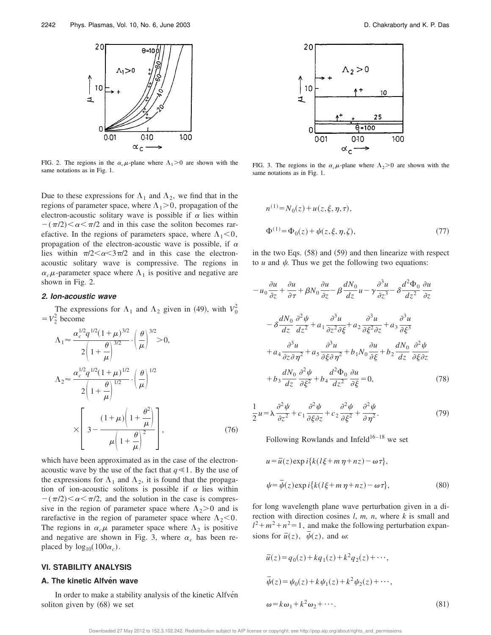

FIG. 2. The regions in the  $\alpha_c \mu$ -plane where  $\Lambda_1 > 0$  are shown with the same notations as in Fig. 1.

Due to these expressions for  $\Lambda_1$  and  $\Lambda_2$ , we find that in the regions of parameter space, where  $\Lambda_1$  > 0, propagation of the electron-acoustic solitary wave is possible if  $\alpha$  lies within  $-(\pi/2) < \alpha < \pi/2$  and in this case the soliton becomes rarefactive. In the regions of parameters space, where  $\Lambda_1<0$ , propagation of the electron-acoustic wave is possible, if  $\alpha$ lies within  $\pi/2 < \alpha < 3\pi/2$  and in this case the electronacoustic solitary wave is compressive. The regions in  $\alpha_c \mu$ -parameter space where  $\Lambda_1$  is positive and negative are shown in Fig. 2.

## **2. Ion-acoustic wave**

The expressions for  $\Lambda_1$  and  $\Lambda_2$  given in (49), with  $V_0^2$  $= V_2^2$  become

$$
\Lambda_{1} \approx \frac{\alpha_{c}^{1/2} q^{1/2} (1 + \mu)^{3/2}}{2 \left( 1 + \frac{\theta}{\mu} \right)^{3/2}} \cdot \left( \frac{\theta}{\mu} \right)^{3/2} > 0,
$$
\n
$$
\Lambda_{2} \approx \frac{\alpha_{c}^{1/2} q^{1/2} (1 + \mu)^{1/2}}{2 \left( 1 + \frac{\theta}{\mu} \right)^{1/2}} \cdot \left( \frac{\theta}{\mu} \right)^{1/2}
$$
\n
$$
\times \left[ 3 - \frac{(1 + \mu) \left( 1 + \frac{\theta^{2}}{\mu} \right)}{\mu \left( 1 + \frac{\theta}{\mu} \right)^{2}} \right],
$$
\n(76)

which have been approximated as in the case of the electronacoustic wave by the use of the fact that  $q \le 1$ . By the use of the expressions for  $\Lambda_1$  and  $\Lambda_2$ , it is found that the propagation of ion-acoustic solitons is possible if  $\alpha$  lies within  $-(\pi/2) < \alpha < \pi/2$ , and the solution in the case is compressive in the region of parameter space where  $\Lambda_2$  > 0 and is rarefactive in the region of parameter space where  $\Lambda_2$  < 0. The regions in  $\alpha_c \mu$  parameter space where  $\Lambda_2$  is positive and negative are shown in Fig. 3, where  $\alpha_c$  has been replaced by  $log_{10}(100\alpha_c)$ .

## **VI. STABILITY ANALYSIS**

## **A. The kinetic Alfven wave**

In order to make a stability analysis of the kinetic Alfvén soliton given by  $(68)$  we set



FIG. 3. The regions in the  $\alpha_c \mu$ -plane where  $\Lambda_2 > 0$  are shown with the same notations as in Fig. 1.

$$
n^{(1)} = N_0(z) + u(z, \xi, \eta, \tau),
$$
  
\n
$$
\Phi^{(1)} = \Phi_0(z) + \psi(z, \xi, \eta, \zeta),
$$
\n(77)

in the two Eqs.  $(58)$  and  $(59)$  and then linearize with respect to  $u$  and  $\psi$ . Thus we get the following two equations:

$$
-u_0 \frac{\partial u}{\partial z} + \frac{\partial u}{\partial \tau} + \beta N_0 \frac{\partial u}{\partial z} - \beta \frac{dN_0}{dz} u - \gamma \frac{\partial^3 u}{\partial z^3} - \delta \frac{d^2 \Phi_0}{dz^2} \frac{\partial u}{\partial z}
$$

$$
- \delta \frac{dN_0}{dz} \frac{\partial^2 \psi}{dz^2} + a_1 \frac{\partial^3 u}{\partial z^2 \partial \xi} + a_2 \frac{\partial^3 u}{\partial \xi^2 \partial z} + a_3 \frac{\partial^3 u}{\partial \xi^3}
$$

$$
+ a_4 \frac{\partial^3 u}{\partial z \partial \eta^2} + a_5 \frac{\partial^3 u}{\partial \xi \partial \eta^2} + b_1 N_0 \frac{\partial u}{\partial \xi} + b_2 \frac{dN_0}{dz} \frac{\partial^2 \psi}{\partial \xi \partial z}
$$

$$
+ b_3 \frac{dN_0}{dz} \frac{\partial^2 \psi}{\partial \xi^2} + b_4 \frac{d^2 \Phi_0}{dz^2} \frac{\partial u}{\partial \xi} = 0, \qquad (78)
$$

$$
\frac{1}{2}u = \lambda \frac{\partial^2 \psi}{\partial z^2} + c_1 \frac{\partial^2 \psi}{\partial \xi \partial z} + c_2 \frac{\partial^2 \psi}{\partial \xi^2} + \frac{\partial^2 \psi}{\partial \eta^2}.
$$
\n(79)

Following Rowlands and Infeld $16-18$  we set

$$
u = \overline{u}(z) \exp i\{k(l\xi + m\eta + nz) - \omega \tau\},
$$
  

$$
\psi = \overline{\psi}(z) \exp i\{k(l\xi + m\eta + nz) - \omega \tau\},
$$
 (80)

for long wavelength plane wave perturbation given in a direction with direction cosines *l*, *m, n*, where *k* is small and  $l^2 + m^2 + n^2 = 1$ , and make the following perturbation expansions for  $\bar{u}(z)$ ,  $\bar{\psi}(z)$ , and  $\omega$ :

$$
\overline{u}(z) = q_0(z) + kq_1(z) + k^2 q_2(z) + \cdots,
$$
  
\n
$$
\overline{\psi}(z) = \psi_0(z) + k \psi_1(z) + k^2 \psi_2(z) + \cdots,
$$
  
\n
$$
\omega = k \omega_1 + k^2 \omega_2 + \cdots.
$$
\n(81)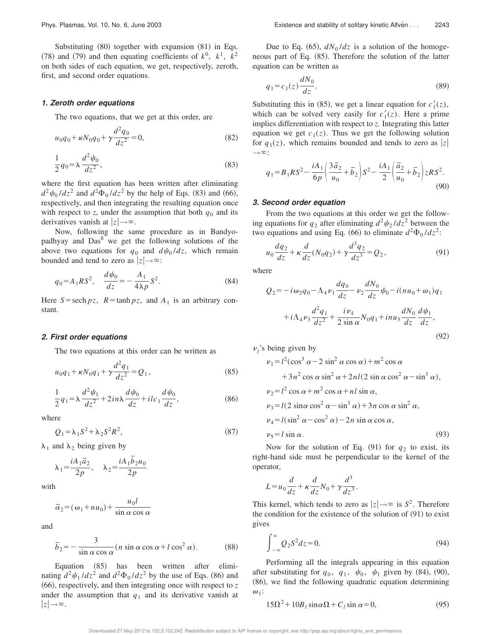Substituting  $(80)$  together with expansion  $(81)$  in Eqs. (78) and (79) and then equating coefficients of  $k^0$ ,  $k^1$ ,  $k^2$ on both sides of each equation, we get, respectively, zeroth, first, and second order equations.

### **1. Zeroth order equations**

The two equations, that we get at this order, are

$$
u_0 q_0 + \kappa N_0 q_0 + \gamma \frac{d^2 q_0}{dz^2} = 0,
$$
\n(82)

$$
\frac{1}{2}q_0 = \lambda \frac{d^2 \psi_0}{dz^2},\tag{83}
$$

where the first equation has been written after eliminating  $d^2 \psi_0 / dz^2$  and  $d^2 \Phi_0 / dz^2$  by the help of Eqs. (83) and (66), respectively, and then integrating the resulting equation once with respect to *z*, under the assumption that both  $q_0$  and its derivatives vanish at  $|z| \rightarrow \infty$ .

Now, following the same procedure as in Bandyopadhyay and  $Das<sup>8</sup>$  we get the following solutions of the above two equations for  $q_0$  and  $d\psi_0/dz$ , which remain bounded and tend to zero as  $|z| \rightarrow \infty$ :

$$
q_0 = A_1 R S^2, \quad \frac{d\psi_0}{dz} = -\frac{A_1}{4\lambda p} S^2. \tag{84}
$$

Here  $S = \operatorname{sech} p z$ ,  $R = \tanh p z$ , and  $A_1$  is an arbitrary constant.

### **2. First order equations**

The two equations at this order can be written as

$$
u_0q_1 + \kappa N_0q_1 + \gamma \frac{d^2q_1}{dz^2} = Q_1,
$$
\n(85)

$$
\frac{1}{2}q_1 = \lambda \frac{d^2 \psi_1}{dz^2} + 2in\lambda \frac{d\psi_0}{dz} + ilc_1 \frac{d\psi_0}{dz},
$$
\n(86)

where

$$
Q_1 = \lambda_1 S^2 + \lambda_2 S^2 R^2, \tag{87}
$$

 $\lambda_1$  and  $\lambda_2$  being given by

$$
\lambda_1 = \frac{iA_1\overline{a}_2}{2p}, \quad \lambda_2 = \frac{iA_1\overline{b}_2u_0}{2p}
$$

with

$$
\bar{\alpha}_2 = (\omega_1 + n u_0) + \frac{u_0 l}{\sin \alpha \cos \alpha}
$$

and

$$
\bar{b}_2 = -\frac{3}{\sin\alpha\cos\alpha}(n\sin\alpha\cos\alpha + l\cos^2\alpha). \tag{88}
$$

Equation  $(85)$  has been written after eliminating  $d^2\psi_1/dz^2$  and  $d^2\Phi_0/dz^2$  by the use of Eqs. (86) and  $(66)$ , respectively, and then integrating once with respect to  $z$ under the assumption that  $q_1$  and its derivative vanish at  $|z| \rightarrow \infty$ .

Due to Eq. (65),  $dN_0/dz$  is a solution of the homogeneous part of Eq.  $(85)$ . Therefore the solution of the latter equation can be written as

$$
q_1 = c_1(z) \frac{dN_0}{dz}.
$$
 (89)

Substituting this in (85), we get a linear equation for  $c'_1(z)$ , which can be solved very easily for  $c'_1(z)$ . Here a prime implies differentiation with respect to *z*. Integrating this latter equation we get  $c_1(z)$ . Thus we get the following solution for  $q_1(z)$ , which remains bounded and tends to zero as |z|  $\rightarrow \infty$ :

$$
q_1 = B_1RS^2 - \frac{iA_1}{6p} \left( \frac{3\bar{a}_2}{u_0} + \bar{b}_2 \right) S^2 - \frac{iA_1}{2} \left( \frac{\bar{a}_2}{u_0} + \bar{b}_2 \right) zRS^2.
$$
\n(90)

### **3. Second order equation**

From the two equations at this order we get the following equations for  $q_2$  after eliminating  $d^2\psi_2/dz^2$  between the two equations and using Eq. (66) to eliminate  $d^2\Phi_0/dz^2$ :

$$
u_0 \frac{dq_2}{dz} + \kappa \frac{d}{dz} (N_0 q_2) + \gamma \frac{d^3 q_2}{dz^3} = Q_2, \tag{91}
$$

where

$$
Q_2 = -i\omega_2 q_0 - \Lambda_4 \nu_1 \frac{dq_0}{dz} - \nu_2 \frac{dN_0}{dz} \psi_0 - i(nu_0 + \omega_1)q_1
$$
  
+  $i\Lambda_4 \nu_3 \frac{d^2q_1}{dz^2} + \frac{i\nu_4}{2 \sin \alpha} N_0 q_1 + inu_5 \frac{dN_0}{dz} \frac{d\psi_1}{dz},$  (92)

 $\nu_j$ 's being given by

$$
\nu_1 = l^2(\cos^3 \alpha - 2 \sin^2 \alpha \cos \alpha) + m^2 \cos \alpha
$$
  
+3n<sup>2</sup> cos \alpha sin<sup>2</sup> \alpha + 2nl(2 sin \alpha cos<sup>2</sup> \alpha - sin<sup>3</sup> \alpha),  

$$
\nu_2 = l^2 \cos \alpha + m^2 \cos \alpha + nl \sin \alpha,
$$
  

$$
\nu_3 = l(2 \sin \alpha \cos^2 \alpha - \sin^3 \alpha) + 3n \cos \alpha \sin^2 \alpha,
$$
  

$$
\nu_4 = l(\sin^2 \alpha - \cos^2 \alpha) - 2n \sin \alpha \cos \alpha,
$$
  

$$
\nu_5 = l \sin \alpha.
$$
 (93)

Now for the solution of Eq.  $(91)$  for  $q_2$  to exist, its right-hand side must be perpendicular to the kernel of the operator,

$$
L = u_0 \frac{d}{dz} + \kappa \frac{d}{dz} N_0 + \gamma \frac{d^3}{dz^3}.
$$

This kernel, which tends to zero as  $|z| \rightarrow \infty$  is  $S^2$ . Therefore the condition for the existence of the solution of  $(91)$  to exist gives

$$
\int_{-\infty}^{\infty} Q_2 S^2 dz = 0.
$$
\n(94)

Performing all the integrals appearing in this equation after substituting for  $q_0$ ,  $q_1$ ,  $\psi_0$ ,  $\psi_1$  given by (84), (90),  $(86)$ , we find the following quadratic equation determining  $\omega_1$ :

$$
15\Omega^2 + 10B_l \sin \alpha \Omega + C_l \sin \alpha = 0, \qquad (95)
$$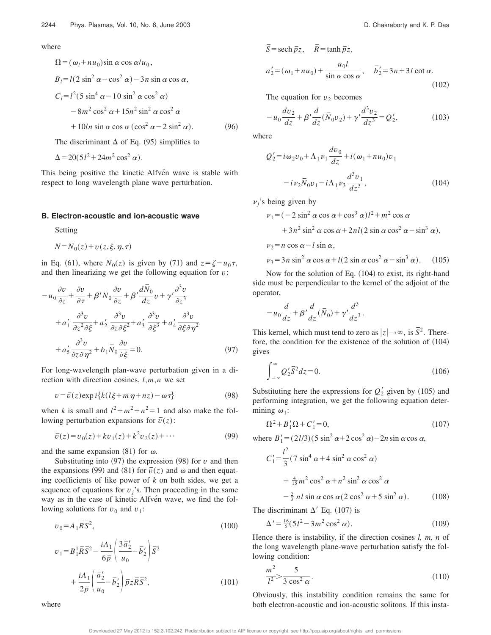where

$$
\Omega = (\omega_l + nu_0)\sin\alpha\cos\alpha/u_0,
$$
  
\n
$$
B_l = l(2\sin^2\alpha - \cos^2\alpha) - 3n\sin\alpha\cos\alpha,
$$
  
\n
$$
C_l = l^2(5\sin^4\alpha - 10\sin^2\alpha\cos^2\alpha)
$$
  
\n
$$
-8m^2\cos^2\alpha + 15n^2\sin^2\alpha\cos^2\alpha
$$
  
\n
$$
+ 10ln\sin\alpha\cos\alpha(\cos^2\alpha - 2\sin^2\alpha).
$$
 (96)

The discriminant  $\Delta$  of Eq. (95) simplifies to

 $\Delta = 20(5l^2 + 24m^2 \cos^2 \alpha).$ 

This being positive the kinetic Alfven wave is stable with respect to long wavelength plane wave perturbation.

### **B. Electron-acoustic and ion-acoustic wave**

Setting

$$
N = \overline{N}_0(z) + v(z, \xi, \eta, \tau)
$$

in Eq. (61), where  $\overline{N}_0(z)$  is given by (71) and  $z = \zeta - u_0 \tau$ , and then linearizing we get the following equation for *v*:

$$
-u_0 \frac{\partial v}{\partial z} + \frac{\partial v}{\partial \tau} + \beta' \bar{N}_0 \frac{\partial v}{\partial z} + \beta' \frac{d\bar{N}_0}{dz} v + \gamma' \frac{\partial^3 v}{\partial z^3} + a'_1 \frac{\partial^3 v}{\partial z^2 \partial \xi} + a'_2 \frac{\partial^3 v}{\partial z \partial \xi^2} + a'_3 \frac{\partial^3 v}{\partial \xi^3} + a'_4 \frac{\partial^3 v}{\partial \xi \partial \eta^2} + a'_5 \frac{\partial^3 v}{\partial z \partial \eta^2} + b_1 \bar{N}_0 \frac{\partial v}{\partial \xi} = 0.
$$
 (97)

For long-wavelength plan-wave perturbation given in a direction with direction cosines, *l*,*m*,*n* we set

$$
v = \overline{v}(z) \exp i\{k(l\xi + m\eta + nz) - \omega \tau\}
$$
\n(98)

when *k* is small and  $l^2 + m^2 + n^2 = 1$  and also make the following perturbation expansions for  $\bar{v}(z)$ :

$$
\bar{v}(z) = v_0(z) + kv_1(z) + k^2 v_2(z) + \cdots \tag{99}
$$

and the same expansion  $(81)$  for  $\omega$ .

Substituting into  $(97)$  the expression  $(98)$  for *v* and then the expansions (99) and (81) for  $\bar{v}(z)$  and  $\omega$  and then equating coefficients of like power of *k* on both sides, we get a sequence of equations for  $v_j$ 's. Then proceeding in the same way as in the case of kinetic Alfvén wave, we find the following solutions for  $v_0$  and  $v_1$ :

$$
v_0 = A_1 \overline{R} \overline{S}^2,\tag{100}
$$

$$
v_1 = B_1^1 \overline{R} \overline{S}^2 - \frac{iA_1}{6\overline{p}} \left( \frac{3\overline{a}_2'}{u_0} - \overline{b}_2' \right) \overline{S}^2
$$
  
+ 
$$
\frac{iA_1}{2\overline{p}} \left( \frac{\overline{a}_2'}{u_0} - \overline{b}_2' \right) \overline{p} z \overline{R} \overline{S}^2,
$$
 (101)

 $(102)$ 

$$
\overline{S} = \operatorname{sech} \overline{p}_z, \quad \overline{R} = \tanh \overline{p}_z,
$$
  
\n
$$
\overline{a}'_2 = (\omega_1 + n\mu_0) + \frac{\mu_0 l}{\sin \alpha \cos \alpha}, \quad \overline{b}'_2 = 3n + 3l \cot \alpha.
$$

The equation for  $v_2$  becomes

$$
-u_0 \frac{dv_2}{dz} + \beta' \frac{d}{dz} (\bar{N}_0 v_2) + \gamma' \frac{d^3 v_2}{dz^3} = Q'_2,
$$
 (103)

where

$$
Q'_{2} = i\omega_{2}v_{0} + \Lambda_{1}\nu_{1}\frac{dv_{0}}{dz} + i(\omega_{1} + nu_{0})v_{1}
$$

$$
-i\nu_{2}\bar{N}_{0}v_{1} - i\Lambda_{1}\nu_{3}\frac{d^{3}v_{1}}{dz^{3}},
$$
(104)

 $\nu_j$ 's being given by

$$
\nu_1 = (-2 \sin^2 \alpha \cos \alpha + \cos^3 \alpha)l^2 + m^2 \cos \alpha
$$
  
+3n<sup>2</sup> sin<sup>2</sup>  $\alpha \cos \alpha + 2nl(2 \sin \alpha \cos^2 \alpha - \sin^3 \alpha),$   

$$
\nu_2 = n \cos \alpha - l \sin \alpha,
$$
  

$$
\nu_3 = 3n \sin^2 \alpha \cos \alpha + l(2 \sin \alpha \cos^2 \alpha - \sin^3 \alpha).
$$
 (105)

Now for the solution of Eq. (104) to exist, its right-hand side must be perpendicular to the kernel of the adjoint of the operator,

$$
-u_0\frac{d}{dz}+\beta'\frac{d}{dz}(\bar{N}_0)+\gamma'\frac{d^3}{dz^3}.
$$

This kernel, which must tend to zero as  $|z| \rightarrow \infty$ , is  $\overline{S}^2$ . Therefore, the condition for the existence of the solution of  $(104)$ gives

$$
\int_{-\infty}^{\infty} Q_2' \overline{S}^2 dz = 0.
$$
\n(106)

Substituting here the expressions for  $Q'_2$  given by (105) and performing integration, we get the following equation determining  $\omega_1$ :

$$
\Omega^2 + B_1' \Omega + C_1' = 0,\tag{107}
$$

where  $B'_1 = (2l/3)(5 \sin^2 \alpha + 2 \cos^2 \alpha) - 2n \sin \alpha \cos \alpha$ ,

$$
C'_{1} = \frac{l^{2}}{3} (7 \sin^{4} \alpha + 4 \sin^{2} \alpha \cos^{2} \alpha)
$$
  
+ 
$$
\frac{4}{15} m^{2} \cos^{2} \alpha + n^{2} \sin^{2} \alpha \cos^{2} \alpha
$$
  
- 
$$
\frac{2}{3} n l \sin \alpha \cos \alpha (2 \cos^{2} \alpha + 5 \sin^{2} \alpha).
$$
 (108)

The discriminant  $\Delta'$  Eq. (107) is

$$
\Delta' = \frac{16}{5}(5l^2 - 3m^2\cos^2\alpha). \tag{109}
$$

Hence there is instability, if the direction cosines *l, m, n* of the long wavelength plane-wave perturbation satisfy the following condition:

$$
\frac{m^2}{l^2} > \frac{5}{3\cos^2\alpha}.\tag{110}
$$

Obviously, this instability condition remains the same for both electron-acoustic and ion-acoustic solitons. If this insta-

where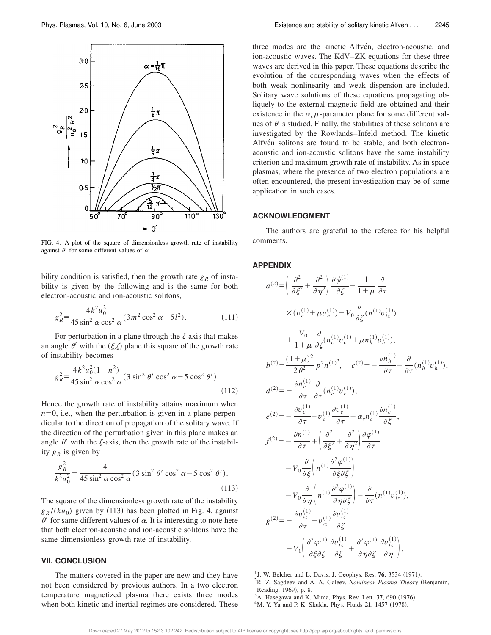

FIG. 4. A plot of the square of dimensionless growth rate of instability against  $\theta'$  for some different values of  $\alpha$ .

bility condition is satisfied, then the growth rate  $g_R$  of instability is given by the following and is the same for both electron-acoustic and ion-acoustic solitons,

$$
g_R^2 = \frac{4k^2u_0^2}{45\sin^2\alpha\cos^2\alpha}(3m^2\cos^2\alpha - 5l^2). \tag{111}
$$

For perturbation in a plane through the  $\zeta$ -axis that makes an angle  $\theta'$  with the  $(\xi,\zeta)$  plane this square of the growth rate of instability becomes

$$
g_R^2 = \frac{4k^2u_0^2(1-n^2)}{45\sin^2\alpha\cos^2\alpha}(3\sin^2\theta'\cos^2\alpha - 5\cos^2\theta').
$$
\n(112)

Hence the growth rate of instability attains maximum when  $n=0$ , i.e., when the perturbation is given in a plane perpendicular to the direction of propagation of the solitary wave. If the direction of the perturbation given in this plane makes an angle  $\theta'$  with the  $\xi$ -axis, then the growth rate of the instability  $g_R$  is given by

$$
\frac{g_R^2}{k^2 u_0^2} = \frac{4}{45 \sin^2 \alpha \cos^2 \alpha} (3 \sin^2 \theta' \cos^2 \alpha - 5 \cos^2 \theta').
$$
\n(113)

The square of the dimensionless growth rate of the instability  $g_R/(ku_0)$  given by (113) has been plotted in Fig. 4, against  $\theta'$  for same different values of  $\alpha$ . It is interesting to note here that both electron-acoustic and ion-acoustic solitons have the same dimensionless growth rate of instability.

## **VII. CONCLUSION**

The matters covered in the paper are new and they have not been considered by previous authors. In a two electron temperature magnetized plasma there exists three modes when both kinetic and inertial regimes are considered. These three modes are the kinetic Alfven, electron-acoustic, and ion-acoustic waves. The KdV–ZK equations for these three waves are derived in this paper. These equations describe the evolution of the corresponding waves when the effects of both weak nonlinearity and weak dispersion are included. Solitary wave solutions of these equations propagating obliquely to the external magnetic field are obtained and their existence in the  $\alpha_c \mu$ -parameter plane for some different values of  $\theta$  is studied. Finally, the stabilities of these solitons are investigated by the Rowlands–Infeld method. The kinetic Alfven solitons are found to be stable, and both electronacoustic and ion-acoustic solitons have the same instability criterion and maximum growth rate of instability. As in space plasmas, where the presence of two electron populations are often encountered, the present investigation may be of some application in such cases.

## **ACKNOWLEDGMENT**

The authors are grateful to the referee for his helpful comments.

# **APPENDIX**

$$
a^{(2)} = \left(\frac{\partial^2}{\partial \xi^2} + \frac{\partial^2}{\partial \eta^2}\right) \frac{\partial \psi^{(1)}}{\partial \zeta} - \frac{1}{1+\mu} \frac{\partial}{\partial \tau}
$$
  
\n
$$
\times (v_c^{(1)} + \mu v_h^{(1)}) - V_0 \frac{\partial}{\partial \zeta} (n^{(1)} v_{iz}^{(1)})
$$
  
\n
$$
+ \frac{V_0}{1+\mu} \frac{\partial}{\partial \zeta} (n_c^{(1)} v_c^{(1)} + \mu n_h^{(1)} v_h^{(1)}),
$$
  
\n
$$
b^{(2)} = \frac{(1+\mu)^2}{2\theta^2} p^2 n^{(1)^2}, \quad c^{(2)} = -\frac{\partial n_h^{(1)}}{\partial \tau} - \frac{\partial}{\partial \tau} (n_h^{(1)} v_h^{(1)}),
$$
  
\n
$$
d^{(2)} = -\frac{\partial n_c^{(1)}}{\partial \tau} \frac{\partial}{\partial \tau} (n_c^{(1)} v_c^{(1)}),
$$
  
\n
$$
e^{(2)} = -\frac{\partial v_c^{(1)}}{\partial \tau} - v_c^{(1)} \frac{\partial v_c^{(1)}}{\partial \tau} + \alpha_c n_c^{(1)} \frac{\partial n_c^{(1)}}{\partial \zeta},
$$
  
\n
$$
f^{(2)} = -\frac{\partial n^{(1)}}{\partial \tau} + \left(\frac{\partial^2}{\partial \xi^2} + \frac{\partial^2}{\partial \eta^2}\right) \frac{\partial \varphi^{(1)}}{\partial \tau}
$$
  
\n
$$
-V_0 \frac{\partial}{\partial \eta} \left(n^{(1)} \frac{\partial^2 \varphi^{(1)}}{\partial \zeta \partial \zeta}\right)
$$
  
\n
$$
-V_0 \frac{\partial}{\partial \eta} \left(n^{(1)} \frac{\partial^2 \varphi^{(1)}}{\partial \eta \partial \zeta}\right) - \frac{\partial}{\partial \tau} (n^{(1)} v_{iz}^{(1)}),
$$
  
\n
$$
g^{(2)} = -\frac{\partial v_{iz}^{(1)}}{\partial \tau} - v_{iz}^{(1)} \frac{\partial v_{iz}^{(1)}}{\partial \zeta}
$$
  
\n
$$
-V_0 \left(\frac{\partial^2 \varphi^{(1)}}{\partial \zeta \partial \zeta} \frac{\
$$

<sup>1</sup> J. W. Belcher and L. Davis, J. Geophys. Res. **76**, 3534 (1971).

- <sup>2</sup>R. Z. Sagdeev and A. A. Galeev, *Nonlinear Plasma Theory* (Benjamin, Reading, 1969), p. 8.
- $3$ A. Hasegawa and K. Mima, Phys. Rev. Lett. 37, 690  $(1976)$ .

<sup>4</sup>M. Y. Yu and P. K. Skukla, Phys. Fluids **21**, 1457 (1978).